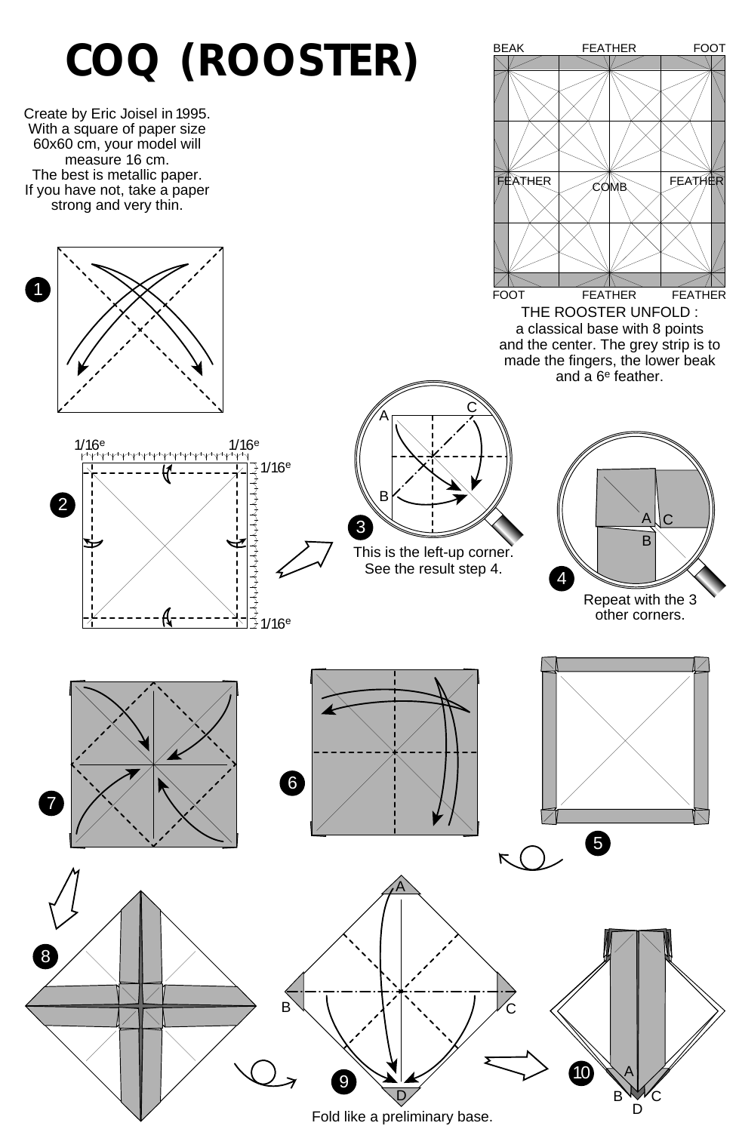

Fold like a preliminary base.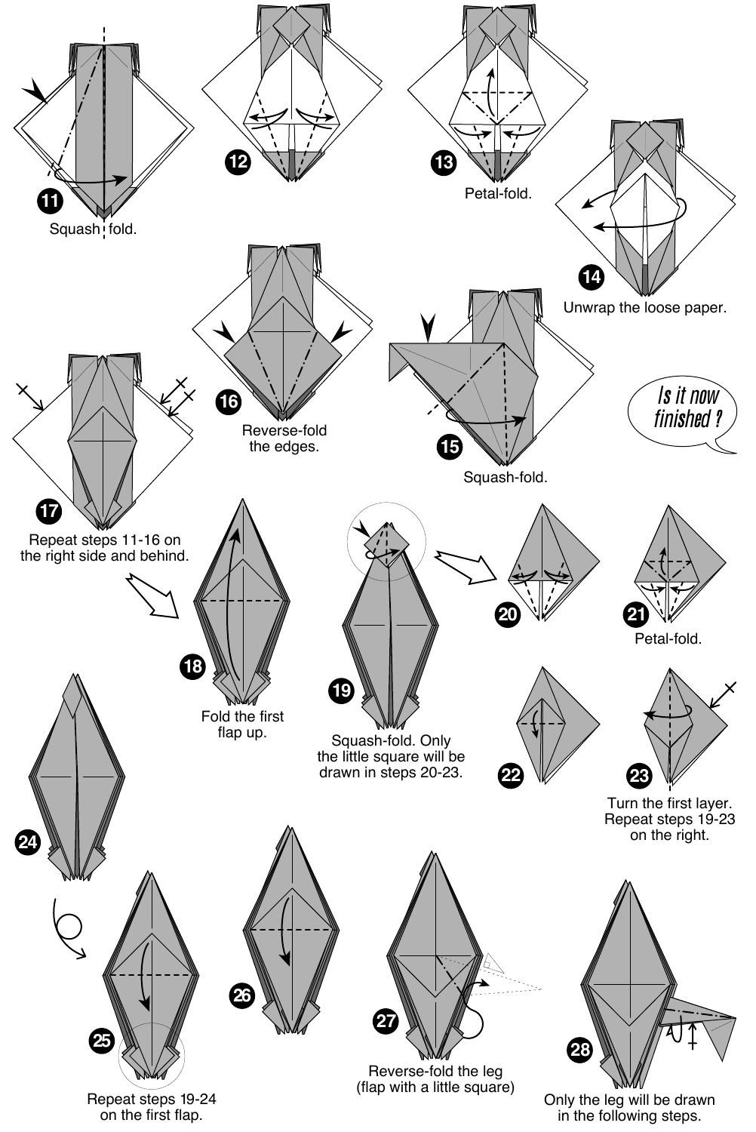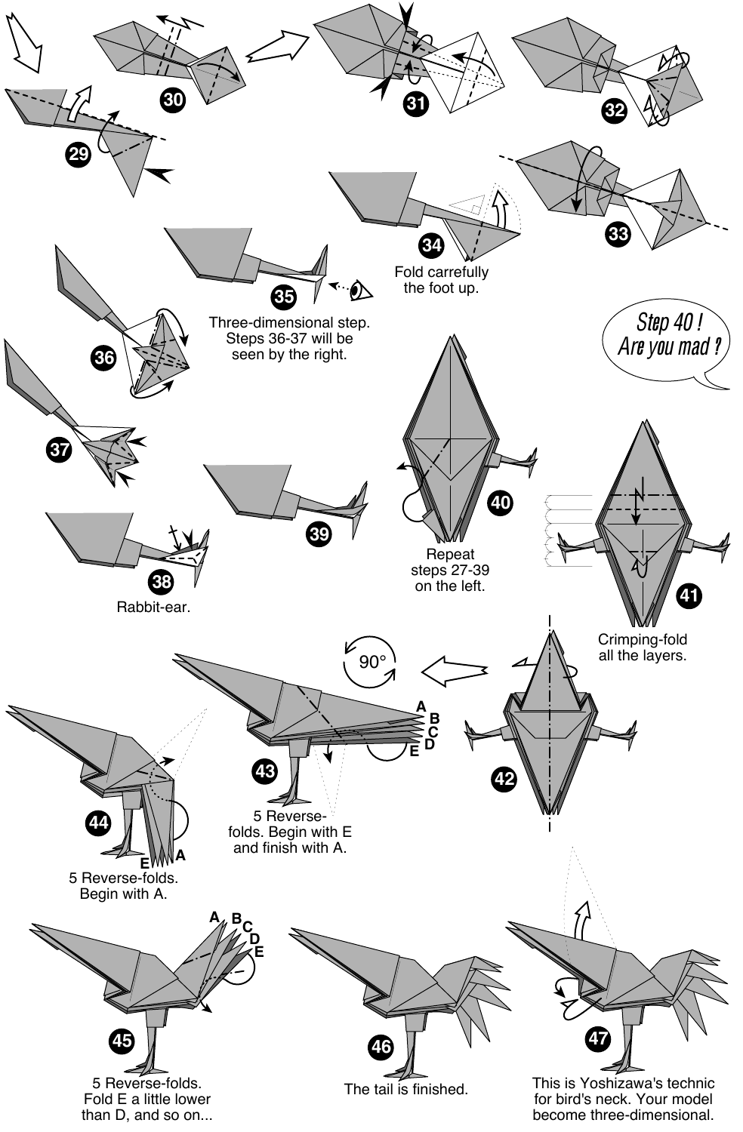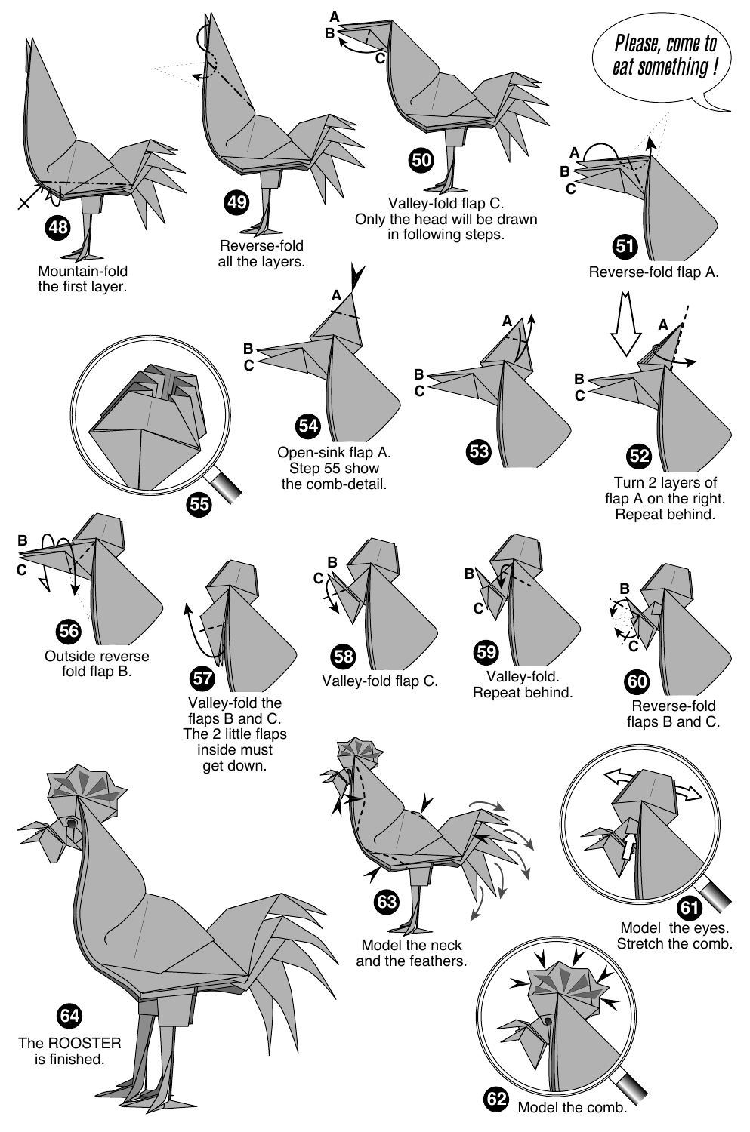